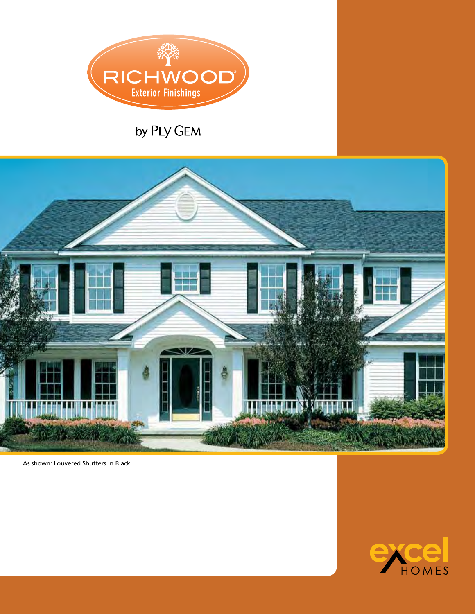

### by PLY GEM



As shown: Louvered Shutters in Black

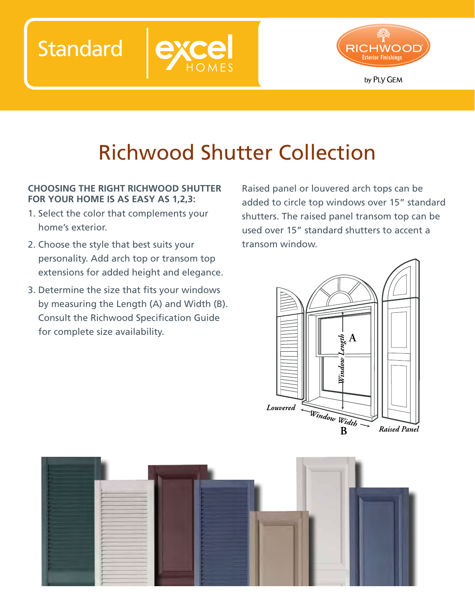**Standard** 



# Richwood Shutter Collection

### **Choosing the right Richwood shutter for your home is as easy as 1,2,3:**

- 1. Select the color that complements your home's exterior.
- 2. Choose the style that best suits your personality. Add arch top or transom top extensions for added height and elegance.
- 3. Determine the size that fits your windows by measuring the Length (A) and Width (B). Consult the Richwood Specification Guide for complete size availability.

Raised panel or louvered arch tops can be added to circle top windows over 15" standard shutters. The raised panel transom top can be used over 15" standard shutters to accent a transom window.



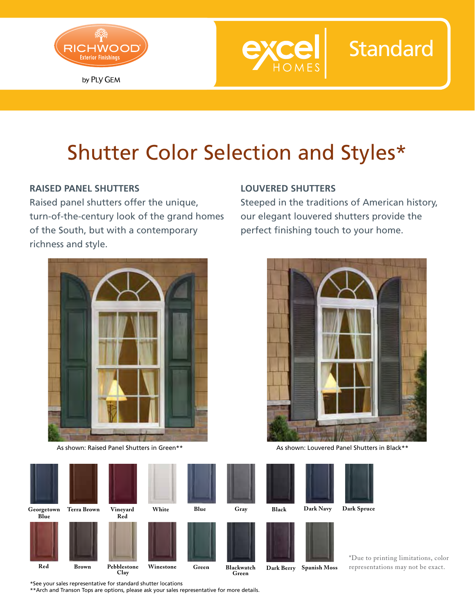



# Shutter Color Selection and Styles\*

### **Raised Panel Shutters**

Raised panel shutters offer the unique, turn-of-the-century look of the grand homes of the South, but with a contemporary richness and style.



As shown: Raised Panel Shutters in Green\*\*

#### **Louvered Shutters**

Steeped in the traditions of American history, our elegant louvered shutters provide the perfect finishing touch to your home.

**Standard** 



As shown: Louvered Panel Shutters in Black\*\*

| orgetown<br>Blue | <b>Terra Brown</b> | Vineyard<br>Red     | White     | Blue  | Gray                | Black      | Dark Navy           | <b>Dark Spruce</b>                  |
|------------------|--------------------|---------------------|-----------|-------|---------------------|------------|---------------------|-------------------------------------|
|                  |                    |                     |           |       |                     |            |                     | *Due to printing limitations, color |
| Red              | <b>Brown</b>       | Pebblestone<br>Clay | Winestone | Green | Blackwatch<br>Green | Dark Berry | <b>Spanish Moss</b> | representations may not be exact.   |

\*See your sales representative for standard shutter locations

Geo

\*\*Arch and Transon Tops are options, please ask your sales representative for more details.